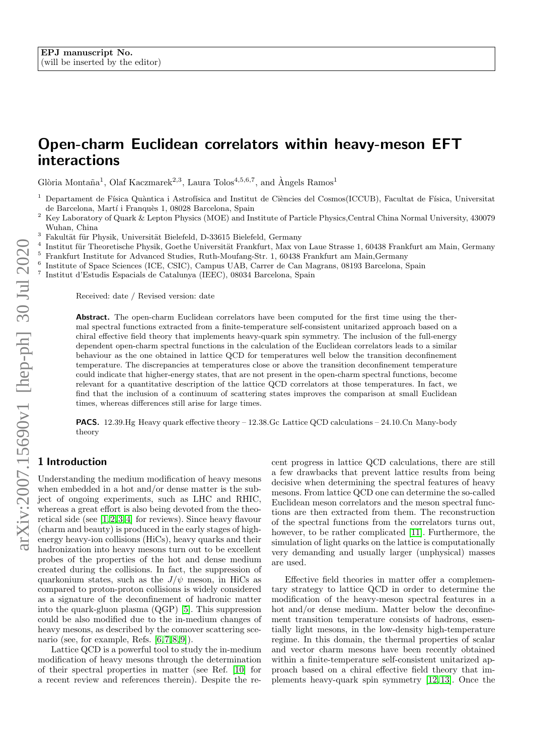# Open-charm Euclidean correlators within heavy-meson EFT interactions

Glòria Montaña<sup>1</sup>, Olaf Kaczmarek<sup>2,3</sup>, Laura Tolos<sup>4,5,6,7</sup>, and Àngels Ramos<sup>1</sup>

- Departament de Física Quàntica i Astrofísica and Institut de Ciències del Cosmos(ICCUB), Facultat de Física, Universitat de Barcelona, Martí i Franquès 1, 08028 Barcelona, Spain
- <sup>2</sup> Key Laboratory of Quark & Lepton Physics (MOE) and Institute of Particle Physics, Central China Normal University, 430079 Wuhan, China
- <sup>3</sup> Fakultät für Physik, Universität Bielefeld, D-33615 Bielefeld, Germany
- 4 Institut für Theoretische Physik, Goethe Universität Frankfurt, Max von Laue Strasse 1, 60438 Frankfurt am Main, Germany <sup>5</sup> Frankfurt Institute for Advanced Studies, Ruth-Moufang-Str. 1, 60438 Frankfurt am Main,Germany
- 6 Institute of Space Sciences (ICE, CSIC), Campus UAB, Carrer de Can Magrans, 08193 Barcelona, Spain
- 7 Institut d'Estudis Espacials de Catalunya (IEEC), 08034 Barcelona, Spain
- 

Received: date / Revised version: date

Abstract. The open-charm Euclidean correlators have been computed for the first time using the thermal spectral functions extracted from a finite-temperature self-consistent unitarized approach based on a chiral effective field theory that implements heavy-quark spin symmetry. The inclusion of the full-energy dependent open-charm spectral functions in the calculation of the Euclidean correlators leads to a similar behaviour as the one obtained in lattice QCD for temperatures well below the transition deconfinement temperature. The discrepancies at temperatures close or above the transition deconfinement temperature could indicate that higher-energy states, that are not present in the open-charm spectral functions, become relevant for a quantitative description of the lattice QCD correlators at those temperatures. In fact, we find that the inclusion of a continuum of scattering states improves the comparison at small Euclidean times, whereas differences still arise for large times.

**PACS.** 12.39.Hg Heavy quark effective theory  $-12.38$ .Gc Lattice QCD calculations  $-24.10$ .Cn Many-body theory

#### 1 Introduction

Understanding the medium modification of heavy mesons when embedded in a hot and/or dense matter is the subject of ongoing experiments, such as LHC and RHIC, whereas a great effort is also being devoted from the theoretical side (see  $[1, 2, 3, 4]$  $[1, 2, 3, 4]$  $[1, 2, 3, 4]$  $[1, 2, 3, 4]$  for reviews). Since heavy flavour (charm and beauty) is produced in the early stages of highenergy heavy-ion collisions (HiCs), heavy quarks and their hadronization into heavy mesons turn out to be excellent probes of the properties of the hot and dense medium created during the collisions. In fact, the suppression of quarkonium states, such as the  $J/\psi$  meson, in HiCs as compared to proton-proton collisions is widely considered as a signature of the deconfinement of hadronic matter into the quark-gluon plasma (QGP) [\[5\]](#page-7-4). This suppression could be also modified due to the in-medium changes of heavy mesons, as described by the comover scattering scenario (see, for example, Refs.  $[6, 7, 8, 9]$  $[6, 7, 8, 9]$  $[6, 7, 8, 9]$  $[6, 7, 8, 9]$ ).

Lattice QCD is a powerful tool to study the in-medium modification of heavy mesons through the determination of their spectral properties in matter (see Ref. [\[10\]](#page-7-9) for a recent review and references therein). Despite the recent progress in lattice QCD calculations, there are still a few drawbacks that prevent lattice results from being decisive when determining the spectral features of heavy mesons. From lattice QCD one can determine the so-called Euclidean meson correlators and the meson spectral functions are then extracted from them. The reconstruction of the spectral functions from the correlators turns out, however, to be rather complicated [\[11\]](#page-7-10). Furthermore, the simulation of light quarks on the lattice is computationally very demanding and usually larger (unphysical) masses are used.

Effective field theories in matter offer a complementary strategy to lattice QCD in order to determine the modification of the heavy-meson spectral features in a hot and/or dense medium. Matter below the deconfinement transition temperature consists of hadrons, essentially light mesons, in the low-density high-temperature regime. In this domain, the thermal properties of scalar and vector charm mesons have been recently obtained within a finite-temperature self-consistent unitarized approach based on a chiral effective field theory that implements heavy-quark spin symmetry [\[12,](#page-7-11)[13\]](#page-7-12). Once the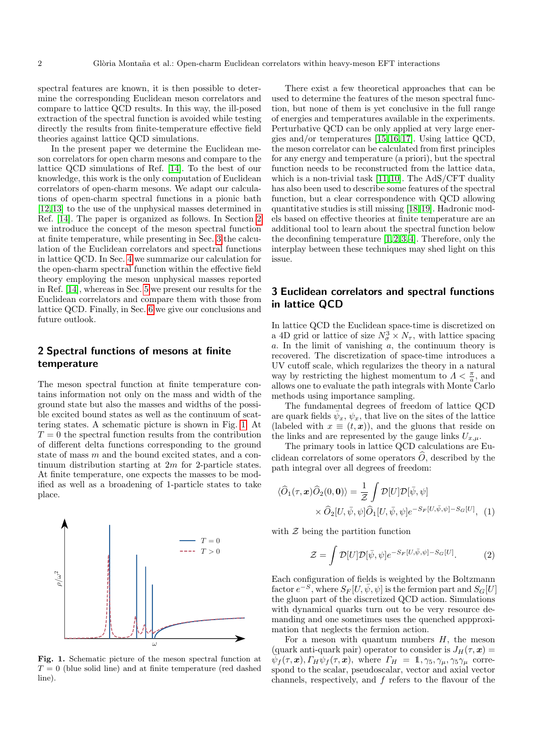spectral features are known, it is then possible to determine the corresponding Euclidean meson correlators and compare to lattice QCD results. In this way, the ill-posed extraction of the spectral function is avoided while testing directly the results from finite-temperature effective field theories against lattice QCD simulations.

In the present paper we determine the Euclidean meson correlators for open charm mesons and compare to the lattice QCD simulations of Ref. [\[14\]](#page-7-13). To the best of our knowledge, this work is the only computation of Euclidean correlators of open-charm mesons. We adapt our calculations of open-charm spectral functions in a pionic bath [\[12,](#page-7-11) [13\]](#page-7-12) to the use of the unphysical masses determined in Ref. [\[14\]](#page-7-13). The paper is organized as follows. In Section [2](#page-1-0) we introduce the concept of the meson spectral function at finite temperature, while presenting in Sec. [3](#page-1-1) the calculation of the Euclidean correlators and spectral functions in lattice QCD. In Sec. [4](#page-3-0) we summarize our calculation for the open-charm spectral function within the effective field theory employing the meson unphysical masses reported in Ref. [\[14\]](#page-7-13), whereas in Sec. [5](#page-4-0) we present our results for the Euclidean correlators and compare them with those from lattice QCD. Finally, in Sec. [6](#page-5-0) we give our conclusions and future outlook.

## <span id="page-1-0"></span>2 Spectral functions of mesons at finite temperature

The meson spectral function at finite temperature contains information not only on the mass and width of the ground state but also the masses and widths of the possible excited bound states as well as the continuum of scattering states. A schematic picture is shown in Fig. [1.](#page-1-2) At  $T = 0$  the spectral function results from the contribution of different delta functions corresponding to the ground state of mass m and the bound excited states, and a continuum distribution starting at 2m for 2-particle states. At finite temperature, one expects the masses to be modified as well as a broadening of 1-particle states to take place.



<span id="page-1-2"></span>Fig. 1. Schematic picture of the meson spectral function at  $T = 0$  (blue solid line) and at finite temperature (red dashed line).

There exist a few theoretical approaches that can be used to determine the features of the meson spectral function, but none of them is yet conclusive in the full range of energies and temperatures available in the experiments. Perturbative QCD can be only applied at very large energies and/or temperatures [\[15,](#page-7-14) [16,](#page-7-15) [17\]](#page-7-16). Using lattice QCD, the meson correlator can be calculated from first principles for any energy and temperature (a priori), but the spectral function needs to be reconstructed from the lattice data, which is a non-trivial task [\[11,](#page-7-10) [10\]](#page-7-9). The AdS/CFT duality has also been used to describe some features of the spectral function, but a clear correspondence with QCD allowing quantitative studies is still missing [\[18,](#page-7-17) [19\]](#page-7-18). Hadronic models based on effective theories at finite temperature are an additional tool to learn about the spectral function below the deconfining temperature  $[1, 2, 3, 4]$  $[1, 2, 3, 4]$  $[1, 2, 3, 4]$  $[1, 2, 3, 4]$ . Therefore, only the interplay between these techniques may shed light on this issue.

## <span id="page-1-1"></span>3 Euclidean correlators and spectral functions in lattice QCD

In lattice QCD the Euclidean space-time is discretized on a 4D grid or lattice of size  $N_{\sigma}^3 \times N_{\tau}$ , with lattice spacing a. In the limit of vanishing  $\alpha$ , the continuum theory is recovered. The discretization of space-time introduces a UV cutoff scale, which regularizes the theory in a natural way by restricting the highest momentum to  $\Lambda < \frac{\pi}{a}$ , and allows one to evaluate the path integrals with Monte Carlo methods using importance sampling.

The fundamental degrees of freedom of lattice QCD are quark fields  $\bar{\psi}_x$ ,  $\psi_x$ , that live on the sites of the lattice (labeled with  $x \equiv (t, x)$ ), and the gluons that reside on the links and are represented by the gauge links  $U_{x,\mu}$ .

The primary tools in lattice QCD calculations are Euclidean correlators of some operators  $O$ , described by the path integral over all degrees of freedom:

$$
\langle \widehat{O}_1(\tau, \mathbf{x}) \widehat{O}_2(0, \mathbf{0}) \rangle = \frac{1}{\mathcal{Z}} \int \mathcal{D}[U] \mathcal{D}[\bar{\psi}, \psi] \times \widehat{O}_2[U, \bar{\psi}, \psi] \widehat{O}_1[U, \bar{\psi}, \psi] e^{-S_F[U, \bar{\psi}, \psi] - S_G[U]}, \tag{1}
$$

with  $Z$  being the partition function

$$
\mathcal{Z} = \int \mathcal{D}[U] \mathcal{D}[\bar{\psi}, \psi] e^{-S_F[U, \bar{\psi}, \psi] - S_G[U]}.
$$
 (2)

Each configuration of fields is weighted by the Boltzmann factor  $e^{-S}$ , where  $S_F[U, \bar{\psi}, \psi]$  is the fermion part and  $S_G[U]$ the gluon part of the discretized QCD action. Simulations with dynamical quarks turn out to be very resource demanding and one sometimes uses the quenched appproximation that neglects the fermion action.

For a meson with quantum numbers  $H$ , the meson (quark anti-quark pair) operator to consider is  $J_H(\tau, x) =$  $\overline{\psi}_f(\tau,\bm{x}), \Gamma_H \overline{\psi}_f(\tau,\bm{x}), \text{ where } \Gamma_H = 1, \gamma_5, \gamma_\mu, \gamma_5 \gamma_\mu \text{ corre-}$ spond to the scalar, pseudoscalar, vector and axial vector channels, respectively, and  $f$  refers to the flavour of the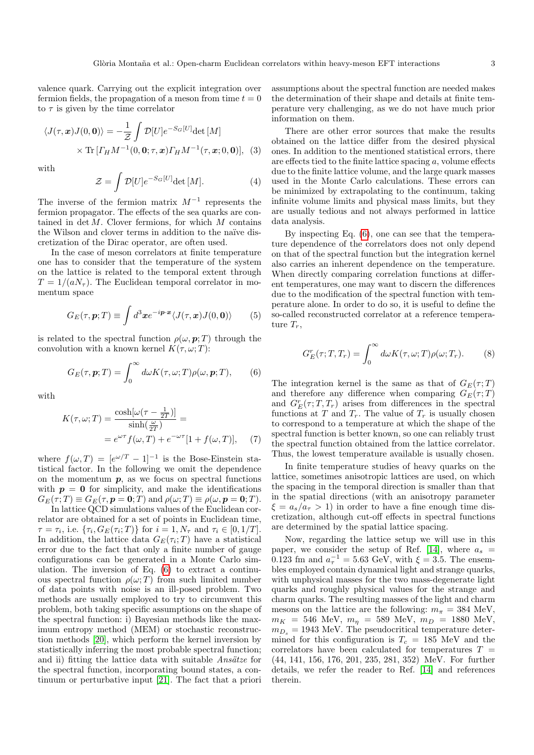valence quark. Carrying out the explicit integration over fermion fields, the propagation of a meson from time  $t = 0$ to  $\tau$  is given by the time correlator

$$
\langle J(\tau, \boldsymbol{x}) J(0, \boldsymbol{0}) \rangle = -\frac{1}{\mathcal{Z}} \int \mathcal{D}[U] e^{-S_G[U]} \det[M]
$$

$$
\times \text{Tr} \left[ \Gamma_H M^{-1}(0, \boldsymbol{0}; \tau, \boldsymbol{x}) \Gamma_H M^{-1}(\tau, \boldsymbol{x}; 0, \boldsymbol{0}) \right], \quad (3)
$$

with

$$
\mathcal{Z} = \int \mathcal{D}[U] e^{-S_G[U]} \det[M]. \tag{4}
$$

The inverse of the fermion matrix  $M^{-1}$  represents the fermion propagator. The effects of the sea quarks are contained in  $\det M$ . Clover fermions, for which  $M$  contains the Wilson and clover terms in addition to the naïve discretization of the Dirac operator, are often used.

In the case of meson correlators at finite temperature one has to consider that the temperature of the system on the lattice is related to the temporal extent through  $T = 1/(aN_{\tau})$ . The Euclidean temporal correlator in momentum space

$$
G_E(\tau, \mathbf{p}; T) \equiv \int d^3 \mathbf{x} e^{-i \mathbf{p} \cdot \mathbf{x}} \langle J(\tau, \mathbf{x}) J(0, \mathbf{0}) \rangle \tag{5}
$$

is related to the spectral function  $\rho(\omega, \mathbf{p}; T)$  through the convolution with a known kernel  $K(\tau, \omega; T)$ :

<span id="page-2-0"></span>
$$
G_E(\tau, \mathbf{p}; T) = \int_0^\infty d\omega K(\tau, \omega; T) \rho(\omega, \mathbf{p}; T), \qquad (6)
$$

with

$$
K(\tau, \omega; T) = \frac{\cosh[\omega(\tau - \frac{1}{2T})]}{\sinh(\frac{\omega}{2T})} =
$$
  
=  $e^{\omega \tau} f(\omega, T) + e^{-\omega \tau} [1 + f(\omega, T)],$  (7)

where  $f(\omega,T) = [e^{\omega/T} - 1]^{-1}$  is the Bose-Einstein statistical factor. In the following we omit the dependence on the momentum  $p$ , as we focus on spectral functions with  $p = 0$  for simplicity, and make the identifications  $G_E(\tau;T) \equiv G_E(\tau, \mathbf{p} = \mathbf{0};T)$  and  $\rho(\omega;T) \equiv \rho(\omega, \mathbf{p} = \mathbf{0};T)$ .

In lattice QCD simulations values of the Euclidean correlator are obtained for a set of points in Euclidean time,  $\tau = \tau_i$ , i.e.  $\{\tau_i, G_E(\tau_i; T)\}\$ for  $i = 1, N_\tau$  and  $\tau_i \in [0, 1/T]$ . In addition, the lattice data  $G_E(\tau_i;T)$  have a statistical error due to the fact that only a finite number of gauge configurations can be generated in a Monte Carlo simulation. The inversion of Eq. [\(6\)](#page-2-0) to extract a continuous spectral function  $\rho(\omega;T)$  from such limited number of data points with noise is an ill-posed problem. Two methods are usually employed to try to circumvent this problem, both taking specific assumptions on the shape of the spectral function: i) Bayesian methods like the maximum entropy method (MEM) or stochastic reconstruction methods [\[20\]](#page-7-19), which perform the kernel inversion by statistically inferring the most probable spectral function; and ii) fitting the lattice data with suitable  $Ans\ddot{a}tze$  for the spectral function, incorporating bound states, a continuum or perturbative input [\[21\]](#page-7-20). The fact that a priori assumptions about the spectral function are needed makes the determination of their shape and details at finite temperature very challenging, as we do not have much prior information on them.

There are other error sources that make the results obtained on the lattice differ from the desired physical ones. In addition to the mentioned statistical errors, there are effects tied to the finite lattice spacing  $a$ , volume effects due to the finite lattice volume, and the large quark masses used in the Monte Carlo calculations. These errors can be minimized by extrapolating to the continuum, taking infinite volume limits and physical mass limits, but they are usually tedious and not always performed in lattice data analysis.

By inspecting Eq. [\(6\)](#page-2-0), one can see that the temperature dependence of the correlators does not only depend on that of the spectral function but the integration kernel also carries an inherent dependence on the temperature. When directly comparing correlation functions at different temperatures, one may want to discern the differences due to the modification of the spectral function with temperature alone. In order to do so, it is useful to define the so-called reconstructed correlator at a reference temperature  $T_r$ ,

<span id="page-2-1"></span>
$$
G_E^r(\tau; T, T_r) = \int_0^\infty d\omega K(\tau, \omega; T) \rho(\omega; T_r). \tag{8}
$$

The integration kernel is the same as that of  $G_E(\tau;T)$ and therefore any difference when comparing  $G_E(\tau;T)$ and  $G_F^r(\tau; T, T_r)$  arises from differences in the spectral functions at T and  $T_r$ . The value of  $T_r$  is usually chosen to correspond to a temperature at which the shape of the spectral function is better known, so one can reliably trust the spectral function obtained from the lattice correlator. Thus, the lowest temperature available is usually chosen.

In finite temperature studies of heavy quarks on the lattice, sometimes anisotropic lattices are used, on which the spacing in the temporal direction is smaller than that in the spatial directions (with an anisotropy parameter  $\xi = a_s/a_\tau > 1$ ) in order to have a fine enough time discretization, although cut-off effects in spectral functions are determined by the spatial lattice spacing.

Now, regarding the lattice setup we will use in this paper, we consider the setup of Ref. [\[14\]](#page-7-13), where  $a_s$  = 0.123 fm and  $a_{\tau}^{-1} = 5.63$  GeV, with  $\xi = 3.5$ . The ensembles employed contain dynamical light and strange quarks, with unphysical masses for the two mass-degenerate light quarks and roughly physical values for the strange and charm quarks. The resulting masses of the light and charm mesons on the lattice are the following:  $m_{\pi} = 384$  MeV,  $m_K$  = 546 MeV,  $m_{\eta}$  = 589 MeV,  $m_D$  = 1880 MeV,  $m_{D_s} = 1943$  MeV. The pseudocritical temperature determined for this configuration is  $T_c = 185$  MeV and the correlators have been calculated for temperatures  $T =$ (44, 141, 156, 176, 201, 235, 281, 352) MeV. For further details, we refer the reader to Ref. [\[14\]](#page-7-13) and references therein.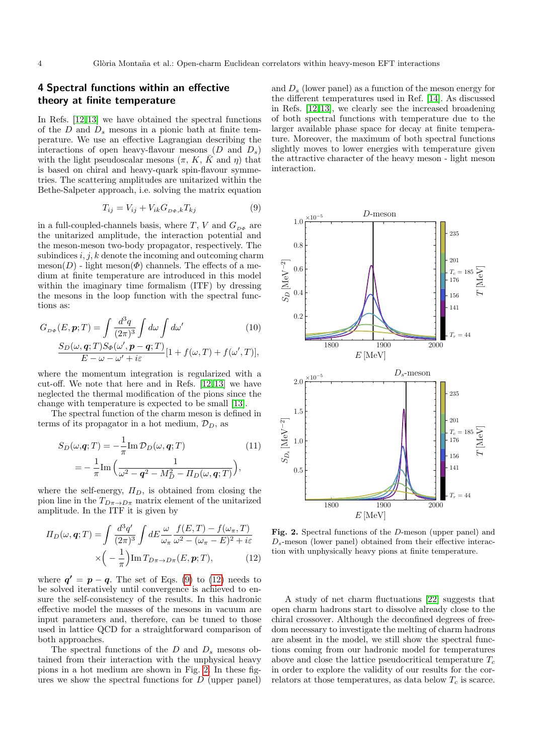#### <span id="page-3-0"></span>4 Spectral functions within an effective theory at finite temperature

In Refs. [\[12,](#page-7-11)[13\]](#page-7-12) we have obtained the spectral functions of the D and  $D_s$  mesons in a pionic bath at finite temperature. We use an effective Lagrangian describing the interactions of open heavy-flavour mesons  $(D \text{ and } D_s)$ with the light pseudoscalar mesons  $(\pi, K, \overline{K}$  and  $\eta$ ) that is based on chiral and heavy-quark spin-flavour symmetries. The scattering amplitudes are unitarized within the Bethe-Salpeter approach, i.e. solving the matrix equation

<span id="page-3-1"></span>
$$
T_{ij} = V_{ij} + V_{ik} G_{D\Phi,k} T_{kj}
$$
\n<sup>(9)</sup>

in a full-coupled-channels basis, where  $T,\,V$  and  $G_{\scriptscriptstyle D\Phi}$  are the unitarized amplitude, the interaction potential and the meson-meson two-body propagator, respectively. The subindices  $i, j, k$  denote the incoming and outcoming charm meson(D) - light meson( $\Phi$ ) channels. The effects of a medium at finite temperature are introduced in this model within the imaginary time formalism (ITF) by dressing the mesons in the loop function with the spectral functions as:

$$
G_{D\Phi}(E, \mathbf{p}; T) = \int \frac{d^3 q}{(2\pi)^3} \int d\omega \int d\omega' \tag{10}
$$

$$
\frac{S_D(\omega, \mathbf{q}; T)S_{\Phi}(\omega', \mathbf{p} - \mathbf{q}; T)}{E - \omega - \omega' + i\varepsilon} [1 + f(\omega, T) + f(\omega', T)],
$$

where the momentum integration is regularized with a cut-off. We note that here and in Refs. [\[12,](#page-7-11) [13\]](#page-7-12) we have neglected the thermal modification of the pions since the change with temperature is expected to be small [\[13\]](#page-7-12).

The spectral function of the charm meson is defined in terms of its propagator in a hot medium,  $\mathcal{D}_D$ , as

$$
S_D(\omega, \mathbf{q}; T) = -\frac{1}{\pi} \text{Im } \mathcal{D}_D(\omega, \mathbf{q}; T)
$$
(11)  
= 
$$
-\frac{1}{\pi} \text{Im} \left( \frac{1}{\omega^2 - \mathbf{q}^2 - M_D^2 - H_D(\omega, \mathbf{q}; T)} \right),
$$

where the self-energy,  $\Pi_D$ , is obtained from closing the pion line in the  $T_{D\pi\to D\pi}$  matrix element of the unitarized amplitude. In the ITF it is given by

$$
\Pi_D(\omega, \mathbf{q}; T) = \int \frac{d^3 q'}{(2\pi)^3} \int dE \frac{\omega}{\omega_\pi} \frac{f(E, T) - f(\omega_\pi, T)}{\omega^2 - (\omega_\pi - E)^2 + i\varepsilon} \times \left( -\frac{1}{\pi} \right) \text{Im} \, T_{D\pi \to D\pi}(E, \mathbf{p}; T), \tag{12}
$$

where  $q' = p - q$ . The set of Eqs. [\(9\)](#page-3-1) to [\(12\)](#page-3-2) needs to be solved iteratively until convergence is achieved to ensure the self-consistency of the results. In this hadronic effective model the masses of the mesons in vacuum are input parameters and, therefore, can be tuned to those used in lattice QCD for a straightforward comparison of both approaches.

The spectral functions of the  $D$  and  $D_s$  mesons obtained from their interaction with the unphysical heavy pions in a hot medium are shown in Fig. [2.](#page-3-3) In these figures we show the spectral functions for  $D$  (upper panel) and  $D_s$  (lower panel) as a function of the meson energy for the different temperatures used in Ref. [\[14\]](#page-7-13). As discussed in Refs. [\[12,](#page-7-11) [13\]](#page-7-12), we clearly see the increased broadening of both spectral functions with temperature due to the larger available phase space for decay at finite temperature. Moreover, the maximum of both spectral functions slightly moves to lower energies with temperature given the attractive character of the heavy meson - light meson interaction.



<span id="page-3-4"></span><span id="page-3-3"></span><span id="page-3-2"></span>Fig. 2. Spectral functions of the D-meson (upper panel) and  $D_s$ -meson (lower panel) obtained from their effective interaction with unphysically heavy pions at finite temperature.

A study of net charm fluctuations [\[22\]](#page-7-21) suggests that open charm hadrons start to dissolve already close to the chiral crossover. Although the deconfined degrees of freedom necessary to investigate the melting of charm hadrons are absent in the model, we still show the spectral functions coming from our hadronic model for temperatures above and close the lattice pseudocritical temperature  $T_c$ in order to explore the validity of our results for the correlators at those temperatures, as data below  $T_c$  is scarce.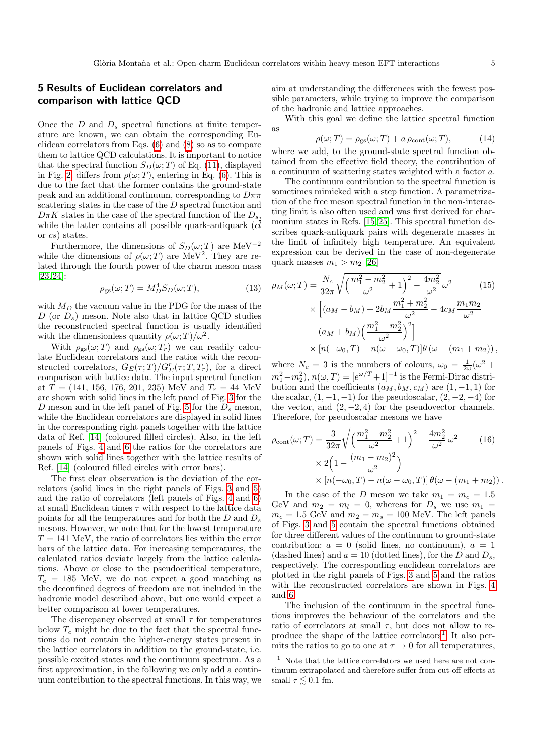## <span id="page-4-0"></span>5 Results of Euclidean correlators and comparison with lattice QCD

Once the  $D$  and  $D_s$  spectral functions at finite temperature are known, we can obtain the corresponding Euclidean correlators from Eqs. [\(6\)](#page-2-0) and [\(8\)](#page-2-1) so as to compare them to lattice QCD calculations. It is important to notice that the spectral function  $S_D(\omega; T)$  of Eq. [\(11\)](#page-3-4), displayed in Fig. [2,](#page-3-3) differs from  $\rho(\omega; T)$ , entering in Eq. [\(6\)](#page-2-0). This is due to the fact that the former contains the ground-state peak and an additional continuum, corresponding to  $D\pi\pi$ scattering states in the case of the D spectral function and  $D\pi K$  states in the case of the spectral function of the  $D_s$ , while the latter contains all possible quark-antiquark  $(c\bar{d})$ or  $c\overline{s}$ ) states.

Furthermore, the dimensions of  $S_D(\omega; T)$  are MeV<sup>-2</sup> while the dimensions of  $\rho(\omega;T)$  are MeV<sup>2</sup>. They are related through the fourth power of the charm meson mass [\[23,](#page-7-22) [24\]](#page-7-23):

$$
\rho_{\rm gs}(\omega;T) = M_D^4 S_D(\omega;T),\tag{13}
$$

with  $M_D$  the vacuum value in the PDG for the mass of the D (or  $D_s$ ) meson. Note also that in lattice QCD studies the reconstructed spectral function is usually identified with the dimensionless quantity  $\rho(\omega;T)/\omega^2$ .

With  $\rho_{\rm gs}(\omega;T)$  and  $\rho_{\rm gs}(\omega;T_r)$  we can readily calculate Euclidean correlators and the ratios with the reconstructed correlators,  $G_E(\tau;T)/G_E^r(\tau;T,T_r)$ , for a direct comparison with lattice data. The input spectral function at  $T = (141, 156, 176, 201, 235)$  MeV and  $T_r = 44$  MeV are shown with solid lines in the left panel of Fig. [3](#page-5-1) for the D meson and in the left panel of Fig. [5](#page-6-0) for the  $D_s$  meson, while the Euclidean correlators are displayed in solid lines in the corresponding right panels together with the lattice data of Ref. [\[14\]](#page-7-13) (coloured filled circles). Also, in the left panels of Figs. [4](#page-5-2) and [6](#page-6-1) the ratios for the correlators are shown with solid lines together with the lattice results of Ref. [\[14\]](#page-7-13) (coloured filled circles with error bars).

The first clear observation is the deviation of the correlators (solid lines in the right panels of Figs. [3](#page-5-1) and [5\)](#page-6-0) and the ratio of correlators (left panels of Figs. [4](#page-5-2) and [6\)](#page-6-1) at small Euclidean times  $\tau$  with respect to the lattice data points for all the temperatures and for both the  $D$  and  $D_s$ mesons. However, we note that for the lowest temperature  $T = 141$  MeV, the ratio of correlators lies within the error bars of the lattice data. For increasing temperatures, the calculated ratios deviate largely from the lattice calculations. Above or close to the pseudocritical temperature,  $T_c = 185$  MeV, we do not expect a good matching as the deconfined degrees of freedom are not included in the hadronic model described above, but one would expect a better comparison at lower temperatures.

The discrepancy observed at small  $\tau$  for temperatures below  $T_c$  might be due to the fact that the spectral functions do not contain the higher-energy states present in the lattice correlators in addition to the ground-state, i.e. possible excited states and the continuum spectrum. As a first approximation, in the following we only add a continuum contribution to the spectral functions. In this way, we aim at understanding the differences with the fewest possible parameters, while trying to improve the comparison of the hadronic and lattice approaches.

With this goal we define the lattice spectral function as

$$
\rho(\omega;T) = \rho_{\rm gs}(\omega;T) + a \,\rho_{\rm cont}(\omega;T),\tag{14}
$$

where we add, to the ground-state spectral function obtained from the effective field theory, the contribution of a continuum of scattering states weighted with a factor a.

The continuum contribution to the spectral function is sometimes mimicked with a step function. A parametrization of the free meson spectral function in the non-interacting limit is also often used and was first derived for charmonium states in Refs. [\[15,](#page-7-14) [25\]](#page-7-24). This spectral function describes quark-antiquark pairs with degenerate masses in the limit of infinitely high temperature. An equivalent expression can be derived in the case of non-degenerate quark masses  $m_1 > m_2$  [\[26\]](#page-7-25)

$$
\rho_M(\omega;T) = \frac{N_c}{32\pi} \sqrt{\left(\frac{m_1^2 - m_2^2}{\omega^2} + 1\right)^2 - \frac{4m_2^2}{\omega^2}} \omega^2 \qquad (15)
$$
  
 
$$
\times \left[ (a_M - b_M) + 2b_M \frac{m_1^2 + m_2^2}{\omega^2} - 4c_M \frac{m_1 m_2}{\omega^2} - (a_M + b_M) \left(\frac{m_1^2 - m_2^2}{\omega^2}\right)^2 \right]
$$
  
 
$$
\times \left[ n(-\omega_0, T) - n(\omega - \omega_0, T) \right] \theta \left( \omega - (m_1 + m_2) \right),
$$

where  $N_c = 3$  is the numbers of colours,  $\omega_0 = \frac{1}{2\omega} (\omega^2 +$  $m_1^2 - m_2^2$ ,  $n(\omega, T) = [e^{\omega/T} + 1]^{-1}$  is the Fermi-Dirac distribution and the coefficients  $(a_M, b_M, c_M)$  are  $(1, -1, 1)$  for the scalar,  $(1, -1, -1)$  for the pseudoscalar,  $(2, -2, -4)$  for the vector, and  $(2, -2, 4)$  for the pseudovector channels. Therefore, for pseudoscalar mesons we have

$$
\rho_{\text{cont}}(\omega; T) = \frac{3}{32\pi} \sqrt{\left(\frac{m_1^2 - m_2^2}{\omega^2} + 1\right)^2 - \frac{4m_2^2}{\omega^2}} \omega^2 \qquad (16)
$$
  
 
$$
\times 2\left(1 - \frac{(m_1 - m_2)^2}{\omega^2}\right)
$$
  
 
$$
\times \left[n(-\omega_0, T) - n(\omega - \omega_0, T)\right] \theta(\omega - (m_1 + m_2)).
$$

In the case of the D meson we take  $m_1 = m_c = 1.5$ GeV and  $m_2 = m_l = 0$ , whereas for  $D_s$  we use  $m_1 =$  $m_c = 1.5$  GeV and  $m_2 = m_s = 100$  MeV. The left panels of Figs. [3](#page-5-1) and [5](#page-6-0) contain the spectral functions obtained for three different values of the continuum to ground-state contribution:  $a = 0$  (solid lines, no continuum),  $a = 1$ (dashed lines) and  $a = 10$  (dotted lines), for the D and  $D_s$ , respectively. The corresponding euclidean correlators are plotted in the right panels of Figs. [3](#page-5-1) and [5](#page-6-0) and the ratios with the reconstructed correlators are shown in Figs. [4](#page-5-2) and [6.](#page-6-1)

The inclusion of the continuum in the spectral functions improves the behaviour of the correlators and the ratio of correlators at small  $\tau$ , but does not allow to re-produce the shape of the lattice correlators<sup>[1](#page-4-1)</sup>. It also permits the ratios to go to one at  $\tau \to 0$  for all temperatures,

<span id="page-4-1"></span> $^{\rm 1}$  Note that the lattice correlators we used here are not continuum extrapolated and therefore suffer from cut-off effects at small  $\tau \lesssim 0.1$  fm.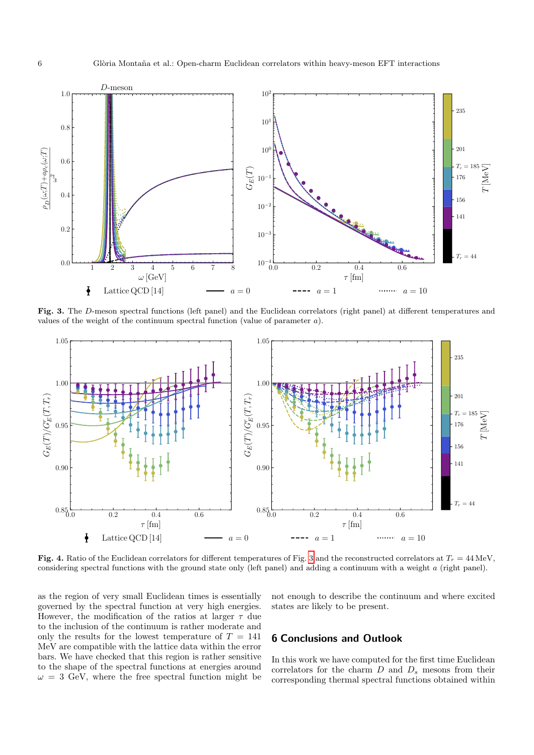

<span id="page-5-1"></span>Fig. 3. The D-meson spectral functions (left panel) and the Euclidean correlators (right panel) at different temperatures and values of the weight of the continuum spectral function (value of parameter  $a$ ).



<span id="page-5-2"></span>Fig. 4. Ratio of the Euclidean correlators for different temperatures of Fig. [3](#page-5-1) and the reconstructed correlators at  $T_r = 44 \text{ MeV}$ , considering spectral functions with the ground state only (left panel) and adding a continuum with a weight a (right panel).

as the region of very small Euclidean times is essentially governed by the spectral function at very high energies. However, the modification of the ratios at larger  $\tau$  due to the inclusion of the continuum is rather moderate and only the results for the lowest temperature of  $T = 141$ MeV are compatible with the lattice data within the error bars. We have checked that this region is rather sensitive to the shape of the spectral functions at energies around  $\omega = 3$  GeV, where the free spectral function might be not enough to describe the continuum and where excited states are likely to be present.

#### <span id="page-5-0"></span>6 Conclusions and Outlook

In this work we have computed for the first time Euclidean correlators for the charm  $D$  and  $D_s$  mesons from their corresponding thermal spectral functions obtained within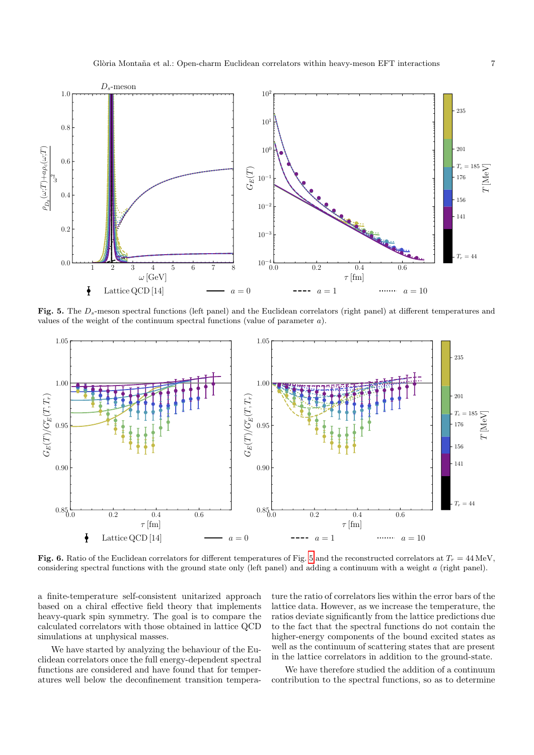

<span id="page-6-0"></span>Fig. 5. The Ds-meson spectral functions (left panel) and the Euclidean correlators (right panel) at different temperatures and values of the weight of the continuum spectral functions (value of parameter  $a$ ).



<span id="page-6-1"></span>Fig. 6. Ratio of the Euclidean correlators for different temperatures of Fig. [5](#page-6-0) and the reconstructed correlators at  $T_r = 44 \text{ MeV}$ , considering spectral functions with the ground state only (left panel) and adding a continuum with a weight a (right panel).

a finite-temperature self-consistent unitarized approach based on a chiral effective field theory that implements heavy-quark spin symmetry. The goal is to compare the calculated correlators with those obtained in lattice QCD simulations at unphysical masses.

We have started by analyzing the behaviour of the Euclidean correlators once the full energy-dependent spectral functions are considered and have found that for temperatures well below the deconfinement transition temperature the ratio of correlators lies within the error bars of the lattice data. However, as we increase the temperature, the ratios deviate significantly from the lattice predictions due to the fact that the spectral functions do not contain the higher-energy components of the bound excited states as well as the continuum of scattering states that are present in the lattice correlators in addition to the ground-state.

We have therefore studied the addition of a continuum contribution to the spectral functions, so as to determine